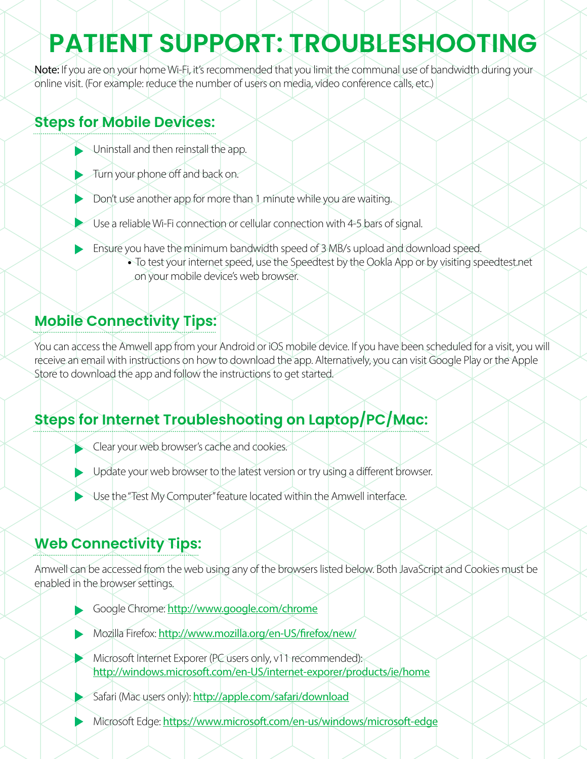# **PATIENT SUPPORT: TROUBLESHOOTING**

Note: If you are on your home Wi-Fi, it's recommended that you limit the communal use of bandwidth during your online visit. (For example: reduce the number of users on media, video conference calls, etc.)

#### **Steps for Mobile Devices:**

- Uninstall and then reinstall the app.
- Turn your phone off and back on.
- Don't use another app for more than 1 minute while you are waiting.
- Use a reliable Wi-Fi connection or cellular connection with 4-5 bars of signal.
	- Ensure you have the minimum bandwidth speed of 3 MB/s upload and download speed.
		- **•** To test your internet speed, use the Speedtest by the Ookla App or by visiting speedtest.net on your mobile device's web browser.

### **Mobile Connectivity Tips:**

You can access the Amwell app from your Android or iOS mobile device. If you have been scheduled for a visit, you will receive an email with instructions on how to download the app. Alternatively, you can visit Google Play or the Apple Store to download the app and follow the instructions to get started.

### **Steps for Internet Troubleshooting on Laptop/PC/Mac:**

- Clear your web browser's cache and cookies.
- Diputate your web browser to the latest version or try using a different browser.
- Use the "Test My Computer" feature located within the Amwell interface.

### **Web Connectivity Tips:**

Amwell can be accessed from the web using any of the browsers listed below. Both JavaScript and Cookies must be enabled in the browser settings.

- Google Chrome: http://www.google.com/chrome
- Mozilla Firefox: http://www.mozilla.org/en-US/firefox/new/
- Microsoft Internet Exporer (PC users only, v11 recommended): http://windows.microsoft.com/en-US/internet-exporer/products/ie/home
- Safari (Mac users only): http://apple.com/safari/download
- Microsoft Edge: https://www.microsoft.com/en-us/windows/microsoft-edge